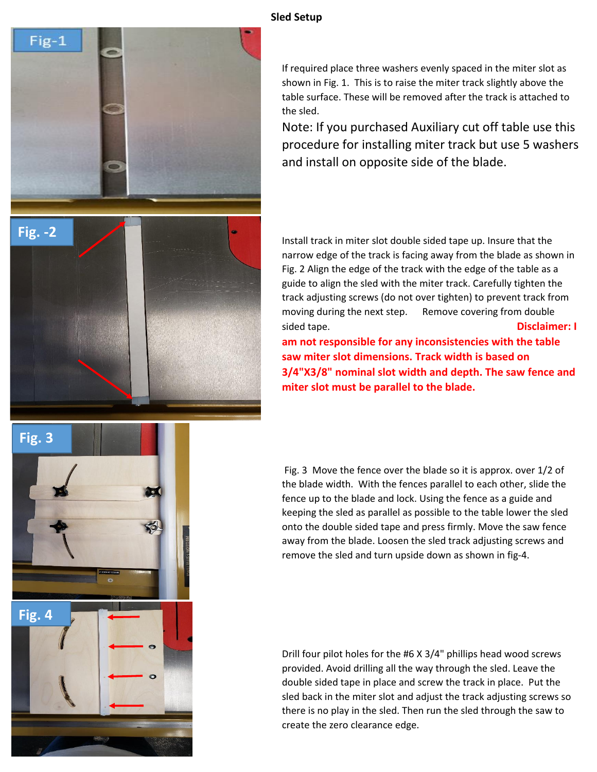

## If required place three washers evenly spaced in the miter slot as shown in Fig. 1. This is to raise the miter track slightly above the table surface. These will be removed after the track is attached to the sled.

Note: If you purchased Auxiliary cut off table use this procedure for installing miter track but use 5 washers and install on opposite side of the blade.

Install track in miter slot double sided tape up. Insure that the narrow edge of the track is facing away from the blade as shown in Fig. 2 Align the edge of the track with the edge of the table as a guide to align the sled with the miter track. Carefully tighten the track adjusting screws (do not over tighten) to prevent track from moving during the next step. Remove covering from double sided tape. **Disclaimer: I am not responsible for any inconsistencies with the table saw miter slot dimensions. Track width is based on 3/4"X3/8" nominal slot width and depth. The saw fence and miter slot must be parallel to the blade.**

 Fig. 3 Move the fence over the blade so it is approx. over 1/2 of the blade width. With the fences parallel to each other, slide the fence up to the blade and lock. Using the fence as a guide and keeping the sled as parallel as possible to the table lower the sled onto the double sided tape and press firmly. Move the saw fence away from the blade. Loosen the sled track adjusting screws and remove the sled and turn upside down as shown in fig-4.

Drill four pilot holes for the #6 X 3/4" phillips head wood screws provided. Avoid drilling all the way through the sled. Leave the double sided tape in place and screw the track in place. Put the sled back in the miter slot and adjust the track adjusting screws so there is no play in the sled. Then run the sled through the saw to create the zero clearance edge.

**Sled Setup**